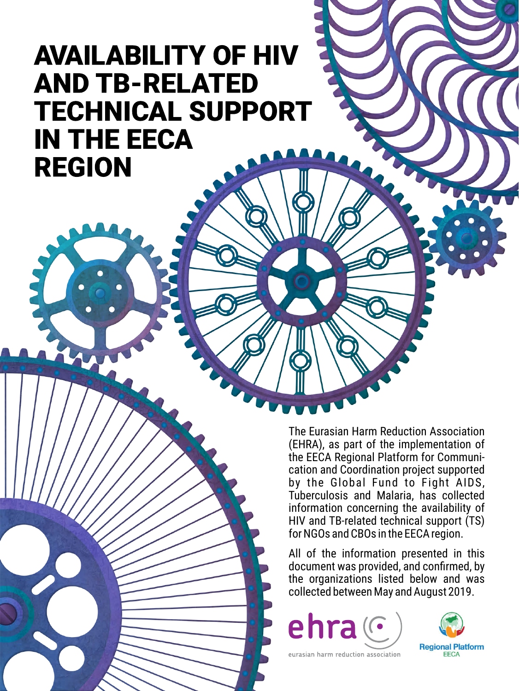# **AVAILABILITY OF HIV AND TB-RELATED TECHNICAL SUPPORT IN THE EECA REGION**

The Eurasian Harm Reduction Association (EHRA), as part of the implementation of the EECA Regional Platform for Communication and Coordination project supported by the Global Fund to Fight AIDS, Tuberculosis and Malaria, has collected information concerning the availability of HIV and TB-related technical support (TS) for NGOs and CBOs in the EECA region.

All of the information presented in this document was provided, and confirmed, by the organizations listed below and was collected between May and August 2019.

ehra $\mathcal C$ 



eurasian harm reduction association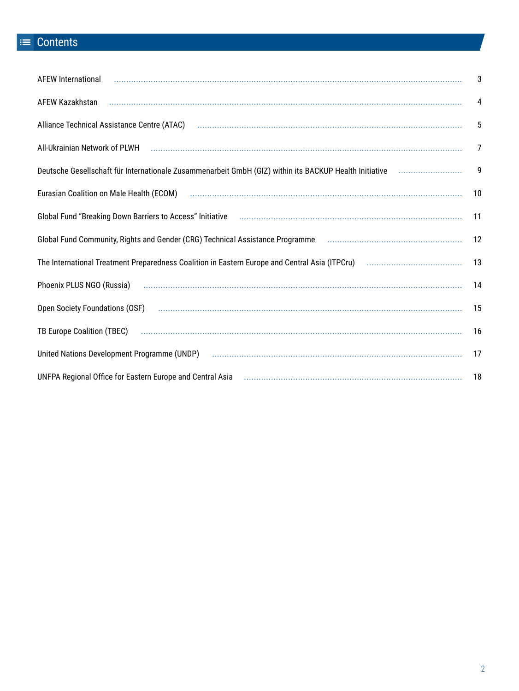## $\equiv$  Contents

| <b>AFEW International</b>                                                                                                                                 | 3              |
|-----------------------------------------------------------------------------------------------------------------------------------------------------------|----------------|
|                                                                                                                                                           | $\overline{4}$ |
| Alliance Technical Assistance Centre (ATAC) использование подделения подраздел и продажно традиции и должно де                                            | 5              |
| All-Ukrainian Network of PLWH использование и политическое политическое просто и просто и политическое просто                                             | $\overline{7}$ |
|                                                                                                                                                           |                |
| Eurasian Coalition on Male Health (ECOM) использование и политическое положение с составляет содерживать и по                                             | 10             |
| Global Fund "Breaking Down Barriers to Access" Initiative <b>Constitution Constructs</b> Fund "Breaking Down Barriers to Access" Initiative               | 11             |
| Global Fund Community, Rights and Gender (CRG) Technical Assistance Programme [11] [11] Community, Rights and Gender (CRG) Technical Assistance Programme | 12             |
|                                                                                                                                                           |                |
| Phoenix PLUS NGO (Russia)                                                                                                                                 | 14             |
|                                                                                                                                                           | 15             |
|                                                                                                                                                           | 16             |
|                                                                                                                                                           |                |
| UNFPA Regional Office for Eastern Europe and Central Asia <b>manufactural Constructs</b> 18                                                               |                |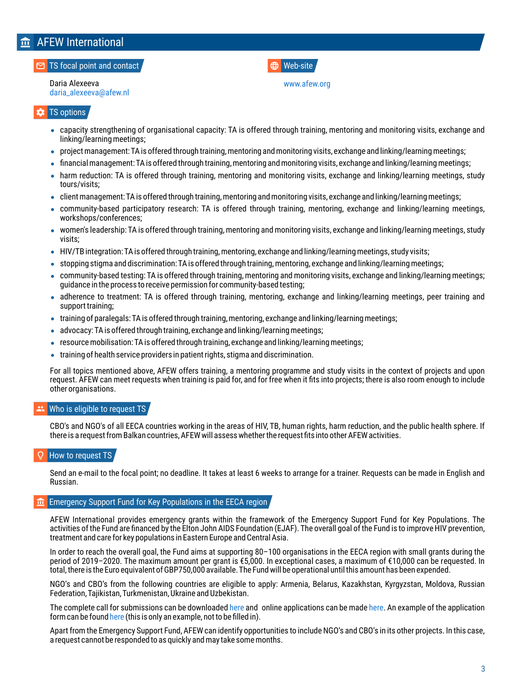## <span id="page-2-0"></span>**AFEW International**

#### TS focal point and contact

Daria Alexeeva [daria\\_alexeeva@afew.nl](mailto:mailto:daria_alexeeva@afew.nl)

### TS options

- capacity strengthening of organisational capacity: TA is offered through training, mentoring and monitoring visits, exchange and linking/learning meetings;
- project management: TA is offered through training, mentoring and monitoring visits, exchange and linking/learning meetings;
- financial management: TA is offered through training, mentoring and monitoring visits, exchange and linking/learning meetings;
- harm reduction: TA is offered through training, mentoring and monitoring visits, exchange and linking/learning meetings, study tours/visits;
- client management: TA is offered through training, mentoring and monitoring visits, exchange and linking/learning meetings;
- community-based participatory research: TA is offered through training, mentoring, exchange and linking/learning meetings, workshops/conferences;
- women's leadership: TA is offered through training, mentoring and monitoring visits, exchange and linking/learning meetings, study visits;
- HIV/TB integration: TA is offered through training, mentoring, exchange and linking/learning meetings, study visits;
- stopping stigma and discrimination: TA is offered through training, mentoring, exchange and linking/learning meetings;
- community-based testing: TA is offered through training, mentoring and monitoring visits, exchange and linking/learning meetings; guidance in the process to receive permission for community-based testing;
- adherence to treatment: TA is offered through training, mentoring, exchange and linking/learning meetings, peer training and support training;
- training of paralegals: TA is offered through training, mentoring, exchange and linking/learning meetings;
- advocacy: TA is offered through training, exchange and linking/learning meetings;
- resource mobilisation: TA is offered through training, exchange and linking/learning meetings;
- training of health service providers in patient rights, stigma and discrimination.

For all topics mentioned above, AFEW offers training, a mentoring programme and study visits in the context of projects and upon request. AFEW can meet requests when training is paid for, and for free when it fits into projects; there is also room enough to include other organisations.

#### Who is eligible to request TS

CBO's and NGO's of all EECA countries working in the areas of HIV, TB, human rights, harm reduction, and the public health sphere. If there is a request from Balkan countries, AFEW will assess whether the request fits into other AFEW activities.

### How to request TS

Send an e-mail to the focal point; no deadline. It takes at least 6 weeks to arrange for a trainer. Requests can be made in English and Russian.

### Emergency Support Fund for Key Populations in the EECA region

AFEW International provides emergency grants within the framework of the Emergency Support Fund for Key Populations. The activities of the Fund are financed by the Elton John AIDS Foundation (EJAF). The overall goal of the Fund is to improve HIV prevention, treatment and care for key populations in Eastern Europe and Central Asia.

In order to reach the overall goal, the Fund aims at supporting 80–100 organisations in the EECA region with small grants during the period of 2019–2020. The maximum amount per grant is €5,000. In exceptional cases, a maximum of €10,000 can be requested. In total, there is the Euro equivalent of GBP750,000 available. The Fund will be operational until this amount has been expended.

NGO's and CBO's from the following countries are eligible to apply: Armenia, Belarus, Kazakhstan, Kyrgyzstan, Moldova, Russian Federation, Tajikistan, Turkmenistan, Ukraine and Uzbekistan.

The complete call for submissions can be downloaded [here](http://www.afew.org/wp-content/uploads/2018/11/DEF-Call-for-Applications-Emergency-Support-Fund-KP-EECA-ENG.pdf) and online applications can be made here. An example of the application form can be foun[d](http://www.afew.org/wp-content/uploads/2018/11/DEF-Application-form-Emergencies-EECA-EXAMPLE-ENG.pdf) here (this is only an example, not to be filled in).

Apart from the Emergency Support Fund, AFEW can identify opportunities to include NGO's and CBO's in its other projects. In this case, a request cannot be responded to as quickly and may take some months.

Web-site [www.afew.org](http://www.afew.org/)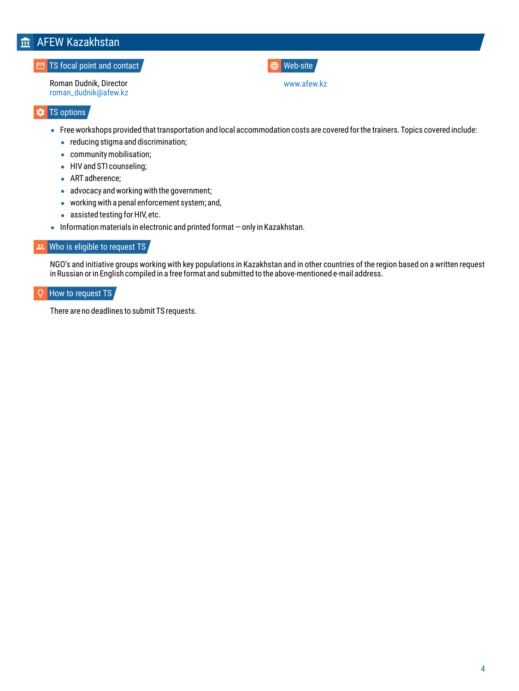## <span id="page-3-0"></span>**ftd** AFEW Kazakhstan

### **TS** focal point and contact

Roman Dudnik, Director [roman\\_dudnik@afew.kz](mailto:roman_dudnik@afew.kz)

### Web-site

[www.afew.kz](http://www.afew.kz/) 

### **\*** TS options

- Free workshops provided that transportation and local accommodation costs are covered for the trainers. Topics covered include:
	- reducing stigma and discrimination:
	- community mobilisation;
	- HIV and STI counseling;
	- ART adherence;
	- advocacy and working with the government;
	- working with a penal enforcement system; and,
	- assisted testing for HIV, etc.
- $\bullet$  Information materials in electronic and printed format  $-$  only in Kazakhstan.

### \*\* Who is eligible to request TS,

NGO's and initiative groups working with key populations in Kazakhstan and in other countries of the region based on a written request in Russian or in English compiled in a free format and submitted to the above-mentioned e-mail address.

#### $\circ$ How to request TS

There are no deadlines to submit TS requests.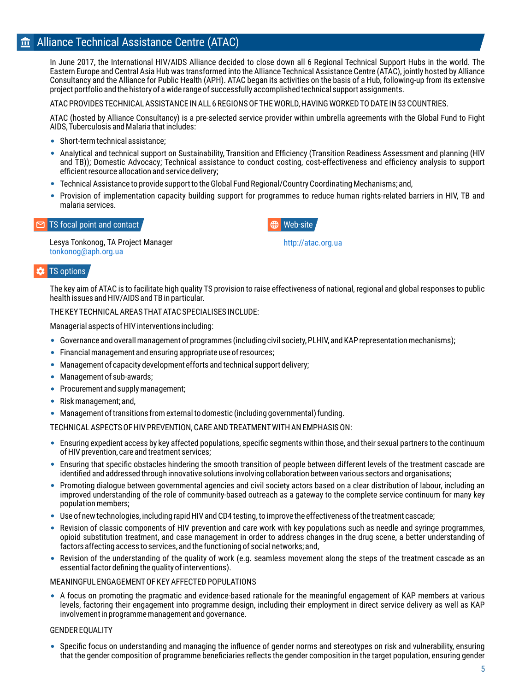### <span id="page-4-0"></span>**fin** Alliance Technical Assistance Centre (ATAC)

In June 2017, the International HIV/AIDS Alliance decided to close down all 6 Regional Technical Support Hubs in the world. The Eastern Europe and Central Asia Hub was transformed into the Alliance Technical Assistance Centre (ATAC), jointly hosted by Alliance Consultancy and the Alliance for Public Health (APH). ATAC began its activities on the basis of a Hub, following-up from its extensive project portfolio and the history of a wide range of successfully accomplished technical support assignments.

ATAC PROVIDES TECHNICAL ASSISTANCE IN ALL 6 REGIONS OF THE WORLD, HAVING WORKED TO DATE IN 53 COUNTRIES.

ATAC (hosted by Alliance Consultancy) is a pre-selected service provider within umbrella agreements with the Global Fund to Fight AIDS, Tuberculosis and Malaria that includes:

- Short-term technical assistance:
- Analytical and technical support on Sustainability, Transition and Efficiency (Transition Readiness Assessment and planning (HIV and TB)); Domestic Advocacy; Technical assistance to conduct costing, cost-effectiveness and efficiency analysis to support efficient resource allocation and service delivery;
- Technical Assistance to provide support to the Global Fund Regional/Country Coordinating Mechanisms; and,
- Provision of implementation capacity building support for programmes to reduce human rights-related barriers in HIV, TB and malaria services.

### TS focal point and contact  $\blacksquare$

Lesya Tonkonog, TA Project Manager [tonkonog@aph.org.ua](mailto:tonkonog@aph.org.ua)

### TS options

The key aim of ATAC is to facilitate high quality TS provision to raise effectiveness of national, regional and global responses to public health issues and HIV/AIDS and TB in particular.

### THE KEY TECHNICAL AREAS THAT ATAC SPECIALISES INCLUDE:

Managerial aspects of HIV interventions including:

- Governance and overall management of programmes (including civil society, PLHIV, and KAP representation mechanisms);
- Financial management and ensuring appropriate use of resources;
- Management of capacity development efforts and technical support delivery;
- Management of sub-awards:
- Procurement and supply management:
- Risk management; and,
- Management of transitions from external to domestic (including governmental) funding.

TECHNICAL ASPECTS OF HIV PREVENTION, CARE AND TREATMENT WITH AN EMPHASIS ON:

- Ensuring expedient access by key affected populations, specific segments within those, and their sexual partners to the continuum of HIV prevention, care and treatment services;
- Ensuring that specific obstacles hindering the smooth transition of people between different levels of the treatment cascade are identified and addressed through innovative solutions involving collaboration between various sectors and organisations;
- Promoting dialogue between governmental agencies and civil society actors based on a clear distribution of labour, including an improved understanding of the role of community-based outreach as a gateway to the complete service continuum for many key population members;
- Use of new technologies, including rapid HIV and CD4 testing, to improve the effectiveness of the treatment cascade;
- Revision of classic components of HIV prevention and care work with key populations such as needle and syringe programmes, opioid substitution treatment, and case management in order to address changes in the drug scene, a better understanding of factors affecting access to services, and the functioning of social networks; and,
- Revision of the understanding of the quality of work (e.g. seamless movement along the steps of the treatment cascade as an essential factor defining the quality of interventions).

#### MEANINGFUL ENGAGEMENT OF KEY AFFECTED POPULATIONS

A focus on promoting the pragmatic and evidence-based rationale for the meaningful engagement of KAP members at various levels, factoring their engagement into programme design, including their employment in direct service delivery as well as KAP involvement in programme management and governance.

### GENDER EQUALITY

Specific focus on understanding and managing the influence of gender norms and stereotypes on risk and vulnerability, ensuring that the gender composition of programme beneficiaries reflects the gender composition in the target population, ensuring gender



[http://atac.org.ua](http://atac.org.ua/)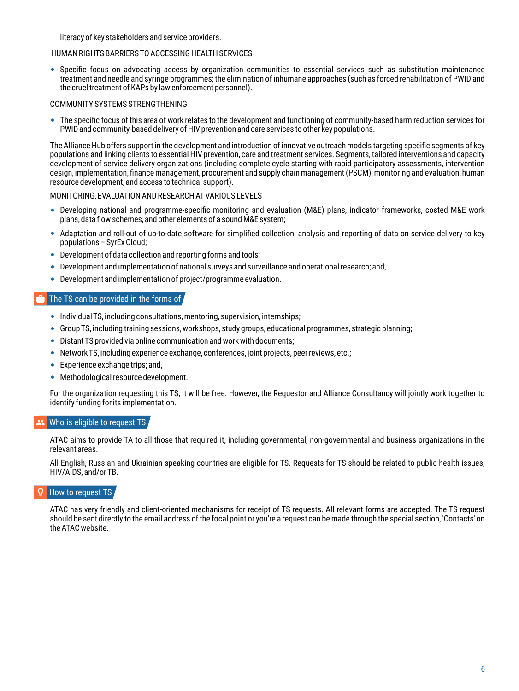literacy of key stakeholders and service providers.

### HUMAN RIGHTS BARRIERS TO ACCESSING HEALTH SERVICES

Specific focus on advocating access by organization communities to essential services such as substitution maintenance treatment and needle and syringe programmes; the elimination of inhumane approaches (such as forced rehabilitation of PWID and the cruel treatment of KAPs by law enforcement personnel).

### COMMUNITY SYSTEMS STRENGTHENING

The specific focus of this area of work relates to the development and functioning of community-based harm reduction services for PWID and community-based delivery of HIV prevention and care services to other key populations.

The Alliance Hub offers support in the development and introduction of innovative outreach models targeting specific segments of key populations and linking clients to essential HIV prevention, care and treatment services. Segments, tailored interventions and capacity development of service delivery organizations (including complete cycle starting with rapid participatory assessments, intervention design, implementation, finance management, procurement and supply chain management (PSCM), monitoring and evaluation, human resource development, and access to technical support).

### MONITORING, EVALUATION AND RESEARCH AT VARIOUS LEVELS

- Developing national and programme-specific monitoring and evaluation (M&E) plans, indicator frameworks, costed M&E work plans, data flow schemes, and other elements of a sound M&E system;
- Adaptation and roll-out of up-to-date software for simplified collection, analysis and reporting of data on service delivery to key populations – SyrEx Cloud;
- Development of data collection and reporting forms and tools;
- Development and implementation of national surveys and surveillance and operational research; and,
- Development and implementation of project/programme evaluation.

### The TS can be provided in the forms of

- Individual TS, including consultations, mentoring, supervision, internships;
- Group TS, including training sessions, workshops, study groups, educational programmes, strategic planning;
- Distant TS provided via online communication and work with documents;
- Network TS, including experience exchange, conferences, joint projects, peer reviews, etc.;
- **Experience exchange trips: and.**
- Methodological resource development.

For the organization requesting this TS, it will be free. However, the Requestor and Alliance Consultancy will jointly work together to identify funding for its implementation.

### Who is eligible to request TS,

ATAC aims to provide TA to all those that required it, including governmental, non-governmental and business organizations in the relevant areas.

All English, Russian and Ukrainian speaking countries are eligible for TS. Requests for TS should be related to public health issues, HIV/AIDS, and/or TB.

### How to request TS

ATAC has very friendly and client-oriented mechanisms for receipt of TS requests. All relevant forms are accepted. The TS request should be sent directly to the email address of the focal point or you're a request can be made through the special section, 'Contacts' on the ATAC website.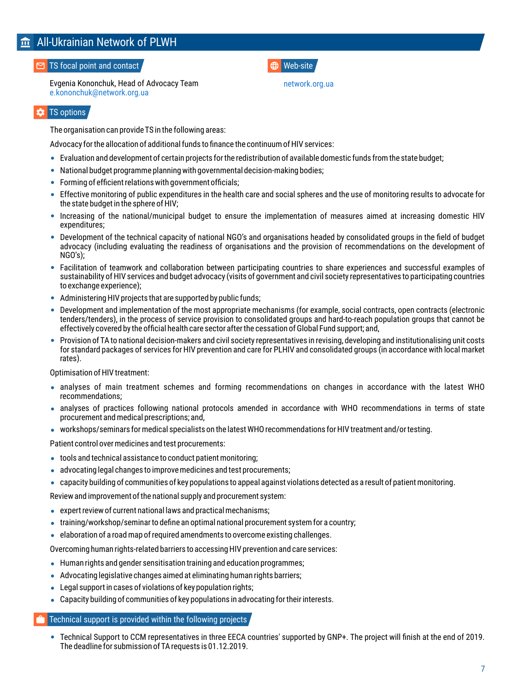## <span id="page-6-0"></span>All-Ukrainian Network of PLWH

### **TS** focal point and contact

Evgenia Kononchuk, Head of Advocacy Team [e.kononchuk@network.org.ua](mailto:e.kononchuk@network.org.ua)

### TS options

The organisation can provide TS in the following areas:

Advocacy for the allocation of additional funds to finance the continuum of HIV services:

- Evaluation and development of certain projects for the redistribution of available domestic funds from the state budget;
- National budget programme planning with governmental decision-making bodies;
- Forming of efficient relations with government officials;
- Effective monitoring of public expenditures in the health care and social spheres and the use of monitoring results to advocate for the state budget in the sphere of HIV;
- Increasing of the national/municipal budget to ensure the implementation of measures aimed at increasing domestic HIV expenditures;
- Development of the technical capacity of national NGO's and organisations headed by consolidated groups in the field of budget advocacy (including evaluating the readiness of organisations and the provision of recommendations on the development of NGO's);
- Facilitation of teamwork and collaboration between participating countries to share experiences and successful examples of sustainability of HIV services and budget advocacy (visits of government and civil society representatives to participating countries to exchange experience);
- Administering HIV projects that are supported by public funds;
- Development and implementation of the most appropriate mechanisms (for example, social contracts, open contracts (electronic tenders/tenders), in the process of service provision to consolidated groups and hard-to-reach population groups that cannot be effectively covered by the official health care sector after the cessation of Global Fund support; and,
- Provision of TA to national decision-makers and civil society representatives in revising, developing and institutionalising unit costs for standard packages of services for HIV prevention and care for PLHIV and consolidated groups (in accordance with local market rates).

Optimisation of HIV treatment:

- analyses of main treatment schemes and forming recommendations on changes in accordance with the latest WHO recommendations;
- analyses of practices following national protocols amended in accordance with WHO recommendations in terms of state procurement and medical prescriptions; and,
- workshops/seminars for medical specialists on the latest WHO recommendations for HIV treatment and/or testing.

Patient control over medicines and test procurements:

- tools and technical assistance to conduct patient monitoring;
- advocating legal changes to improve medicines and test procurements;
- capacity building of communities of key populations to appeal against violations detected as a result of patient monitoring.

Review and improvement of the national supply and procurement system:

- expert review of current national laws and practical mechanisms;
- training/workshop/seminar to define an optimal national procurement system for a country;
- elaboration of a road map of required amendments to overcome existing challenges.

Overcoming human rights-related barriers to accessing HIV prevention and care services:

- Human rights and gender sensitisation training and education programmes;
- Advocating legislative changes aimed at eliminating human rights barriers;
- Legal support in cases of violations of key population rights;
- Capacity building of communities of key populations in advocating for their interests.

### Technical support is provided within the following projects

Technical Support to СCМ representatives in three EECA countries' supported by GNP+. The project will finish at the end of 2019. The deadline for submission of TA requests is 01.12.2019.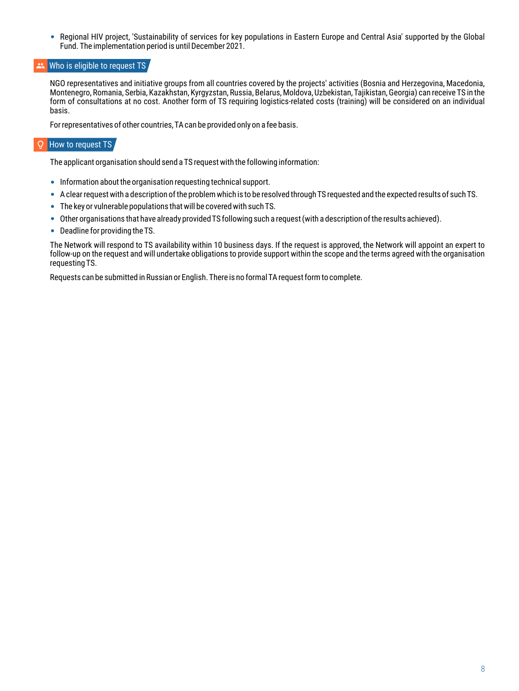Regional HIV project, 'Sustainability of services for key populations in Eastern Europe and Central Asia' supported by the Global  $\bullet$ Fund. The implementation period is until December 2021.

### Who is eligible to request TS

NGO representatives and initiative groups from all countries covered by the projects' activities (Bosnia and Herzegovina, Macedonia, Montenegro, Romania, Serbia, Kazakhstan, Kyrgyzstan, Russia, Belarus, Moldova, Uzbekistan, Tajikistan, Georgia) can receive TS in the form of consultations at no cost. Another form of TS requiring logistics-related costs (training) will be considered on an individual basis.

For representatives of other countries, TA can be provided only on a fee basis.

#### $\circ$ How to request TS

The applicant organisation should send a TS request with the following information:

- Information about the organisation requesting technical support.
- A clear request with a description of the problem which is to be resolved through TS requested and the expected results of such TS.
- The key or vulnerable populations that will be covered with such TS.
- Other organisations that have already provided TS following such a request (with a description of the results achieved).
- Deadline for providing the TS.

The Network will respond to TS availability within 10 business days. If the request is approved, the Network will appoint an expert to follow-up on the request and will undertake obligations to provide support within the scope and the terms agreed with the organisation requesting TS.

Requests can be submitted in Russian or English. There is no formal TA request form to complete.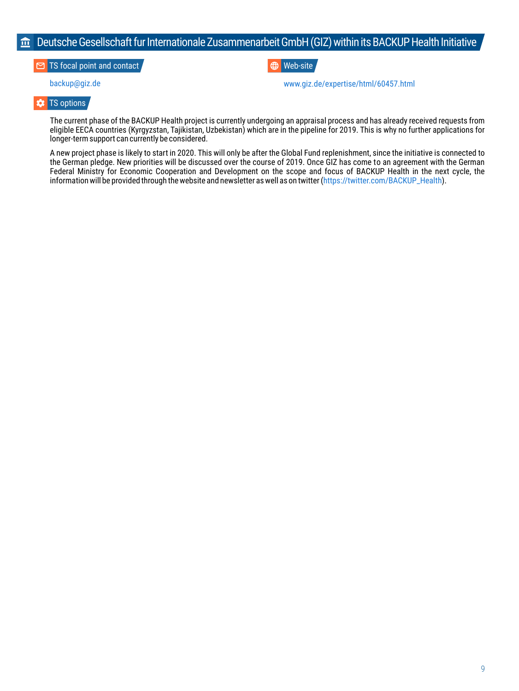### <span id="page-8-0"></span> $\widehat{m}$  Deutsche Gesellschaft fur Internationale Zusammenarbeit GmbH (GIZ) within its BACKUP Health Initiative

**TS** focal point and contact

**ED** Web-site

[backup@giz.de](mailto:backup@giz.de) [www.giz.de/expertise/html/60457.html](https://www.giz.de/expertise/html/60457.html) 

#### ۰ TS options

The current phase of the BACKUP Health project is currently undergoing an appraisal process and has already received requests from eligible EECA countries (Kyrgyzstan, Tajikistan, Uzbekistan) which are in the pipeline for 2019. This is why no further applications for longer-term support can currently be considered.

A new project phase is likely to start in 2020. This will only be after the Global Fund replenishment, since the initiative is connected to the German pledge. New priorities will be discussed over the course of 2019. Once GIZ has come to an agreement with the German Federal Ministry for Economic Cooperation and Development on the scope and focus of BACKUP Health in the next cycle, the information will be provided through the website and newsletter as well as on twitter ([https://twitter.com/BACKUP\\_Health\)](https://twitter.com/BACKUP_Health).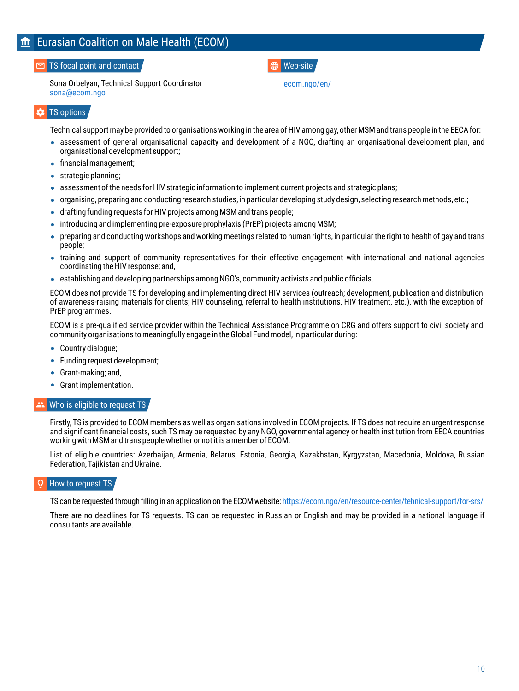### <span id="page-9-0"></span>TS focal point and contact

Sona Orbelyan, Technical Support Coordinator [sona@ecom.ngo](mailto:sona@ecom.ngo)

### Web-site

[ecom.ngo/en/](https://ecom.ngo/en/)

### **x** TS options

Technical support may be provided to organisations working in the area of HIV among gay, other MSM and trans people in the EECA for:

- assessment of general organisational capacity and development of a NGO, drafting an organisational development plan, and organisational development support;
- financial management;
- strategic planning;
- assessment of the needs for HIV strategic information to implement current projects and strategic plans;
- $\bullet$  organising, preparing and conducting research studies, in particular developing study design, selecting research methods, etc.;
- drafting funding requests for HIV projects among MSM and trans people;
- introducing and implementing pre-exposure prophylaxis (PrEP) projects among MSM;
- preparing and conducting workshops and working meetings related to human rights, in particular the right to health of gay and trans people;
- training and support of community representatives for their effective engagement with international and national agencies coordinating the HIV response; and,
- establishing and developing partnerships among NGO's, community activists and public officials.

ECOM does not provide TS for developing and implementing direct HIV services (outreach; development, publication and distribution of awareness-raising materials for clients; HIV counseling, referral to health institutions, HIV treatment, etc.), with the exception of PrEP programmes.

ECOM is a pre-qualified service provider within the Technical Assistance Programme on CRG and offers support to civil society and community organisations to meaningfully engage in the Global Fund model, in particular during:

- Country dialogue;
- Funding request development;
- Grant-making; and,
- Grant implementation.

### Who is eligible to request TS

Firstly, TS is provided to ECOM members as well as organisations involved in ECOM projects. If TS does not require an urgent response and significant financial costs, such TS may be requested by any NGO, governmental agency or health institution from EECA countries working with MSM and trans people whether or not it is a member of ECOM.

List of eligible countries: Azerbaijan, Armenia, Belarus, Estonia, Georgia, Kazakhstan, Kyrgyzstan, Macedonia, Moldova, Russian Federation, Tajikistan and Ukraine.

### How to request TS

TS can be requested through filling in an application on the ECOM website:<https://ecom.ngo/en/resource-center/tehnical-support/for-srs/>

There are no deadlines for TS requests. TS can be requested in Russian or English and may be provided in a national language if consultants are available.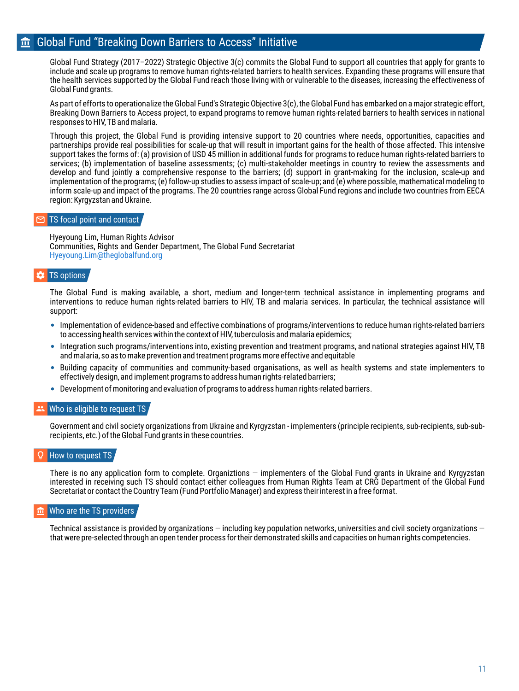### <span id="page-10-0"></span>**form** Global Fund "Breaking Down Barriers to Access" Initiative

Global Fund Strategy (2017–2022) Strategic Objective 3(c) commits the Global Fund to support all countries that apply for grants to include and scale up programs to remove human rights-related barriers to health services. Expanding these programs will ensure that the health services supported by the Global Fund reach those living with or vulnerable to the diseases, increasing the effectiveness of Global Fund grants.

As part of efforts to operationalize the Global Fund's Strategic Objective 3(c), the Global Fund has embarked on a major strategic effort, Breaking Down Barriers to Access project, to expand programs to remove human rights-related barriers to health services in national responses to HIV, TB and malaria.

Through this project, the Global Fund is providing intensive support to 20 countries where needs, opportunities, capacities and partnerships provide real possibilities for scale-up that will result in important gains for the health of those affected. This intensive support takes the forms of: (a) provision of USD 45 million in additional funds for programs to reduce human rights-related barriers to services; (b) implementation of baseline assessments; (c) multi-stakeholder meetings in country to review the assessments and develop and fund jointly a comprehensive response to the barriers; (d) support in grant-making for the inclusion, scale-up and implementation of the programs; (e) follow-up studies to assess impact of scale-up; and (e) where possible, mathematical modeling to inform scale-up and impact of the programs. The 20 countries range across Global Fund regions and include two countries from EECA region: Kyrgyzstan and Ukraine.

### TS focal point and contact

Hyeyoung Lim, Human Rights Advisor Communities, Rights and Gender Department, The Global Fund Secretariat [Hyeyoung.Lim@theglobalfund.org](mailto:Hyeyoung.Lim@theglobalfund.org)

#### ÷ TS options

The Global Fund is making available, a short, medium and longer-term technical assistance in implementing programs and interventions to reduce human rights-related barriers to HIV, TB and malaria services. In particular, the technical assistance will support:

- Implementation of evidence-based and effective combinations of programs/interventions to reduce human rights-related barriers to accessing health services within the context of HIV, tuberculosis and malaria epidemics;
- Integration such programs/interventions into, existing prevention and treatment programs, and national strategies against HIV, TB and malaria, so as to make prevention and treatment programs more effective and equitable
- Building capacity of communities and community-based organisations, as well as health systems and state implementers to effectively design, and implement programs to address human rights-related barriers;
- Development of monitoring and evaluation of programs to address human rights-related barriers.

#### **Who is eligible to request TS**

Government and civil society organizations from Ukraine and Kyrgyzstan - implementers (principle recipients, sub-recipients, sub-subrecipients, etc.) of the Global Fund grants in these countries.

### How to request TS

There is no any application form to complete. Organiztions — implementers of the Global Fund grants in Ukraine and Kyrgyzstan interested in receiving such TS should contact either colleagues from Human Rights Team at CRG Department of the Global Fund Secretariat or contact the Country Team (Fund Portfolio Manager) and express their interest in a free format.

### Who are the TS providers

Technical assistance is provided by organizations — including key population networks, universities and civil society organizations that were pre-selected through an open tender process for their demonstrated skills and capacities on human rights competencies.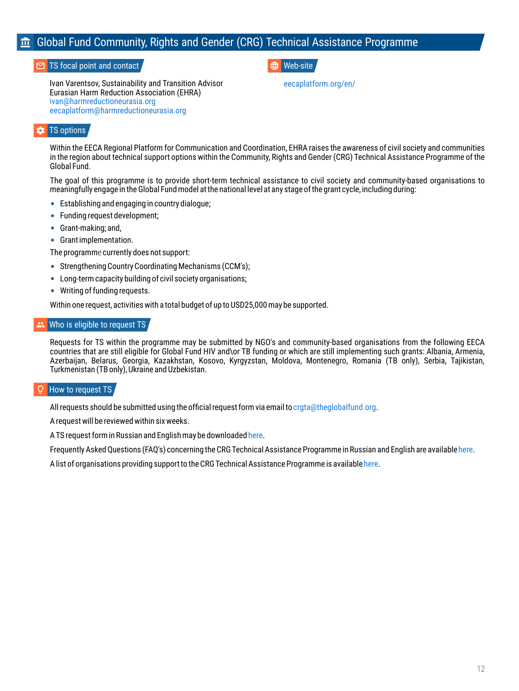## <span id="page-11-0"></span>Global Fund Community, Rights and Gender (CRG) Technical Assistance Programme

### **TS** focal point and contact

Ivan Varentsov, Sustainability and Transition Advisor Eurasian Harm Reduction Association (EHRA) [ivan@harmreductioneurasia.org](mailto:ivan@harmreductioneurasia.org) [eecaplatform@harmreductioneurasia.org](mailto:eecaplatform@harmreductioneurasia.org)

### Web-site

[eecaplatform.org/en/](https://eecaplatform.org/en/)

### TS options

Within the EECA Regional Platform for Communication and Coordination, EHRA raises the awareness of civil society and communities in the region about technical support options within the Community, Rights and Gender (CRG) Technical Assistance Programme of the Global Fund.

The goal of this programme is to provide short-term technical assistance to civil society and community-based organisations to meaningfully engage in the Global Fund model at the national level at any stage of the grant cycle, including during:

- Establishing and engaging in country dialogue;
- Funding request development:
- Grant-making; and,
- Grant implementation.

The programme currently does not support:

- Strengthening Country Coordinating Mechanisms (CCM's):
- Long-term capacity building of civil society organisations;
- Writing of funding requests.

Within one request, activities with a total budget of up to USD25,000 may be supported.

#### Who is eligible to request TS

Requests for TS within the programme may be submitted by NGO's and community-based organisations from the following EECA countries that are still eligible for Global Fund HIV and\or TB funding or which are still implementing such grants: Albania, Armenia, Azerbaijan, Belarus, Georgia, Kazakhstan, Kosovo, Kyrgyzstan, Moldova, Montenegro, Romania (TB only), Serbia, Tajikistan, Turkmenistan (TB only), Ukraine and Uzbekistan.

### How to request TS

All requests should be submitted using the official request form via email to [crgta@theglobalfund.org.](mailto:crgta@theglobalfund.org)

A request will be reviewed within six weeks.

A TS request form in Russian and English may be downloaded here.

Frequently Asked Questions (FAQ's) concerning the CRG Technical Assistance Programme in Russian and English are available [here](https://www.theglobalfund.org/media/6938/fundingmodel_crgtaprogram_faq_en.pdf).

A list of organisations providing support to the CRG Technical Assistance Programme is available here.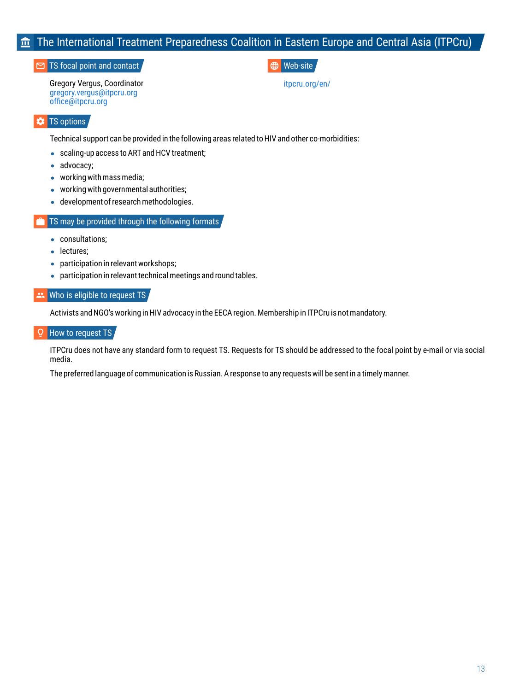## <span id="page-12-0"></span>The International Treatment Preparedness Coalition in Eastern Europe and Central Asia (ITPCru)

### TS focal point and contact  $\blacksquare$

Gregory Vergus, Coordinator [gregory.vergus@itpcru.org](mailto:gregory.vergus@itpcru.org) [office@itpcru.org](mailto:office@itpcru.org)

[itpcru.org/en/](https://itpcru.org/en/)

### **TS** options

Technical support can be provided in the following areas related to HIV and other co-morbidities:

- scaling-up access to ART and HCV treatment;
- advocacy:
- working with mass media;
- working with governmental authorities;
- development of research methodologies.

### TS may be provided through the following formats

- consultations:
- **·** lectures:
- participation in relevant workshops;
- participation in relevant technical meetings and round tables.

### Who is eligible to request TS

Activists and NGO's working in HIV advocacy in the EECA region. Membership in ITPCru is not mandatory.

#### Ō How to request TS

ITPCru does not have any standard form to request TS. Requests for TS should be addressed to the focal point by e-mail or via social media.

The preferred language of communication is Russian. A response to any requests will be sent in a timely manner.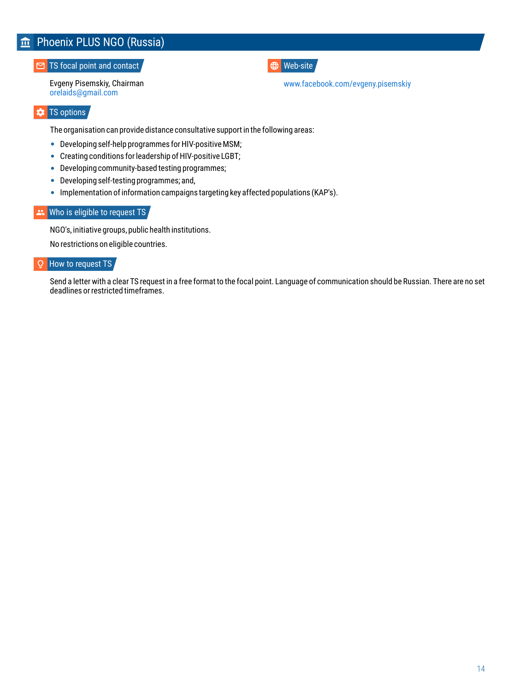### <span id="page-13-0"></span>**TS** focal point and contact

Evgeny Pisemskiy, Chairman [orelaids@gmail.com](mailto:orelaids@gmail.com)

**ED** Web-site

[www.facebook.com/evgeny.pisemskiy](http://www.facebook.com/evgeny.pisemskiy) 

### **\*** TS options

The organisation can provide distance consultative support in the following areas:

- Developing self-help programmes for HIV-positive MSM;
- Creating conditions for leadership of HIV-positive LGBT;
- Developing community-based testing programmes;
- Developing self-testing programmes; and,
- Implementation of information campaigns targeting key affected populations (KAP's).

### \*\* Who is eligible to request TS

NGO's, initiative groups, public health institutions.

No restrictions on eligible countries.

### How to request TS

Send a letter with a clear TS request in a free format to the focal point. Language of communication should be Russian. There are no set deadlines or restricted timeframes.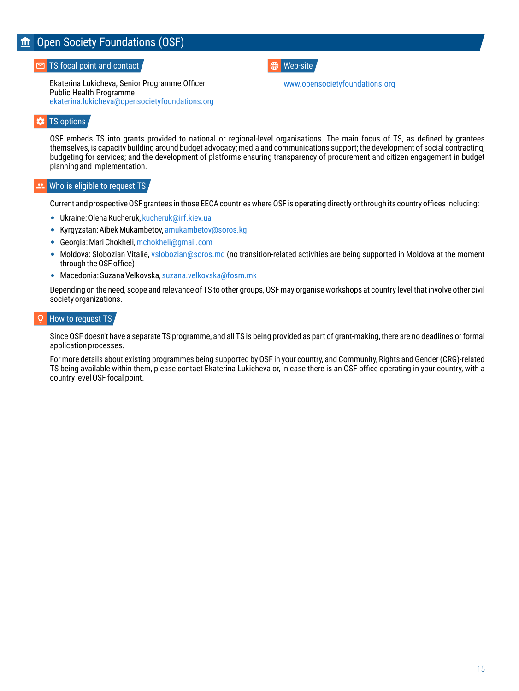## <span id="page-14-0"></span>**Open Society Foundations (OSF)**

TS focal point and contact  $\blacksquare$ 

Ekaterina Lukicheva, Senior Programme Officer Public Health Programme [ekaterina.lukicheva@opensocietyfoundations.org](mailto:Ekaterina.lukicheva@opensocietyfoundations.org)

[www.opensocietyfoundations.org](http://www.opensocietyfoundations.org/)

### TS options

OSF embeds TS into grants provided to national or regional-level organisations. The main focus of TS, as defined by grantees themselves, is capacity building around budget advocacy; media and communications support; the development of social contracting; budgeting for services; and the development of platforms ensuring transparency of procurement and citizen engagement in budget planning and implementation.

#### 2k Who is eligible to request TS,

Current and prospective OSF grantees in those EECA countries where OSF is operating directly or through its country offices including:

- Ukraine: Olena Kucheruk[, kucheruk@irf.kiev.ua](mailto:kucheruk@irf.kiev.ua)
- Kyrgyzstan: Aibek Mukambetov[, amukambetov@soros.kg](mailto:amukambetov@soros.kg)
- Georgia: Mari Chokheli[, mchokheli@gmail.com](mailto:mchokheli@gmail.com)
- Moldova: Slobozian Vitalie[, vslobozian@soros.md \(](mailto:vslobozian@soros.md)no transition-related activities are being supported in Moldova at the moment through the OSF office)
- Macedonia: Suzana Velkovska[, suzana.velkovska@fosm.mk](mailto:suzana.velkovska@fosm.mk)

Depending on the need, scope and relevance of TS to other groups, OSF may organise workshops at country level that involve other civil society organizations.

### **How to request TS**

Since OSF doesn't have a separate TS programme, and all TS is being provided as part of grant-making, there are no deadlines or formal application processes.

For more details about existing programmes being supported by OSF in your country, and Community, Rights and Gender (CRG)-related TS being available within them, please contact Ekaterina Lukicheva or, in case there is an OSF office operating in your country, with a country level OSF focal point.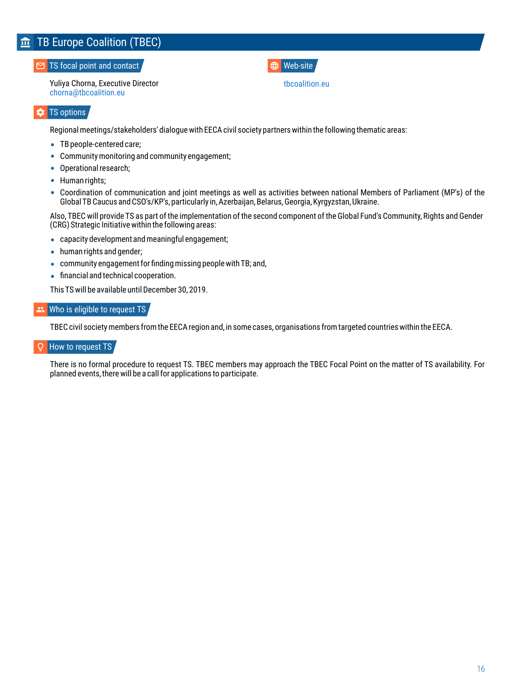### <span id="page-15-0"></span>**TS** focal point and contact

Yuliya Chorna, Executive Director [chorna@tbcoalition.eu](mailto:chorna@tbcoalition.eu) 

### Web-site

[tbcoalition.eu](http://tbcoalition.eu/)

### **EX** TS options

Regional meetings/stakeholders' dialogue with EECA civil society partners within the following thematic areas:

- TB people-centered care;
- Community monitoring and community engagement;
- Operational research;
- Human rights;
- Coordination of communication and joint meetings as well as activities between national Members of Parliament (MP's) of the Global TB Caucus and CSO's/KP's, particularly in, Azerbaijan, Belarus, Georgia, Kyrgyzstan, Ukraine.

Also, TBEC will provide TS as part of the implementation of the second component of the Global Fund's Community, Rights and Gender (CRG) Strategic Initiative within the following areas:

- capacity development and meaningful engagement;
- human rights and gender;
- community engagement for finding missing people with TB; and,
- **•** financial and technical cooperation.

This TS will be available until December 30, 2019.

### Who is eligible to request TS

TBEC civil society members from the EECA region and, in some cases, organisations from targeted countries within the EECA.

#### How to request TS  $\Omega$

There is no formal procedure to request TS. TBEC members may approach the TBEC Focal Point on the matter of TS availability. For planned events, there will be a call for applications to participate.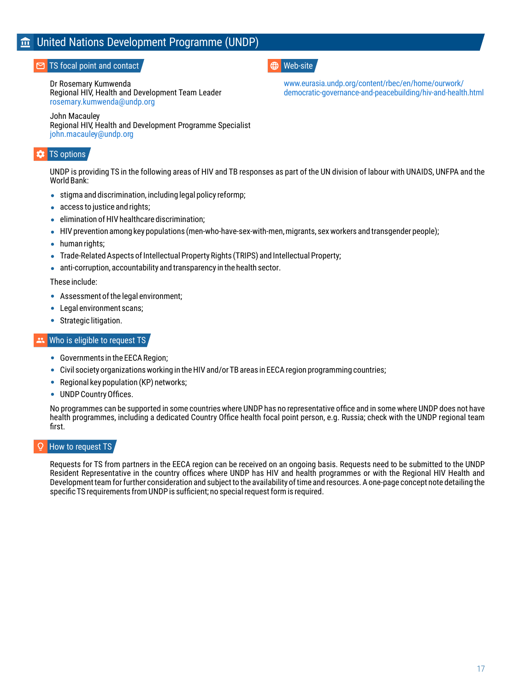## <span id="page-16-0"></span>United Nations Development Programme (UNDP)

### TS focal point and contact

Dr Rosemary Kumwenda Regional HIV, Health and Development Team Leader [rosemary.kumwenda@undp.org](mailto:rosemary.kumwenda@undp.org)

John Macauley Regional HIV, Health and Development Programme Specialist [john.macauley@undp.org](mailto:john.macauley@undp.org)

### TS options

UNDP is providing TS in the following areas of HIV and TB responses as part of the UN division of labour with UNAIDS, UNFPA and the World Bank:

- stigma and discrimination, including legal policy reformp;
- access to justice and rights;
- elimination of HIV healthcare discrimination;
- HIV prevention among key populations (men-who-have-sex-with-men, migrants, sex workers and transgender people);
- human rights;
- Trade-Related Aspects of Intellectual Property Rights (TRIPS) and Intellectual Property;
- anti-corruption, accountability and transparency in the health sector.

These include:

- Assessment of the legal environment;
- Legal environment scans:
- Strategic litigation.

### Who is eligible to request TS

- Governments in the EECA Region;
- Civil society organizations working in the HIV and/or TB areas in EECA region programming countries;
- Regional key population (KP) networks;
- UNDP Country Offices.

No programmes can be supported in some countries where UNDP has no representative office and in some where UNDP does not have health programmes, including a dedicated Country Office health focal point person, e.g. Russia; check with the UNDP regional team first.

### How to request TS

Requests for TS from partners in the EECA region can be received on an ongoing basis. Requests need to be submitted to the UNDP Resident Representative in the country offices where UNDP has HIV and health programmes or with the Regional HIV Health and Development team for further consideration and subject to the availability of time and resources. A one-page concept note detailing the specific TS requirements from UNDP is sufficient; no special request form is required.

### **ED** Web-site

www.eurasia.undp.org/content/rbec/en/home/ourwork/ [democratic-governance-and-peacebuilding/hiv-and-health.html](http://www.eurasia.undp.org/content/rbec/en/home/ourwork/democratic-governance-and-peacebuilding/hiv-and-health.html)